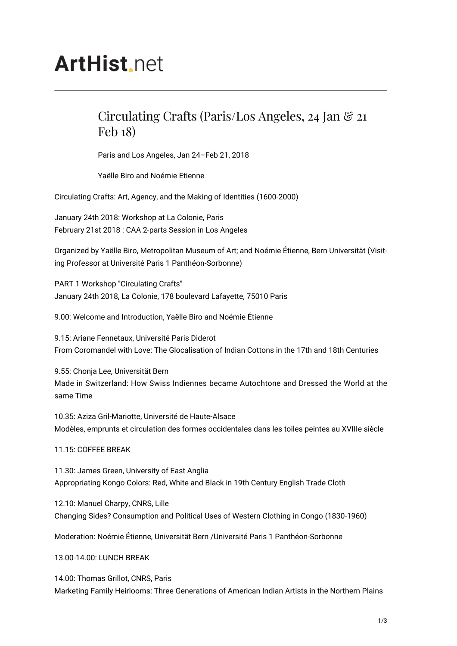## **ArtHist**, net

## Circulating Crafts (Paris/Los Angeles, 24 Jan & 21 Feb 18)

Paris and Los Angeles, Jan 24–Feb 21, 2018

Yaëlle Biro and Noémie Etienne

Circulating Crafts: Art, Agency, and the Making of Identities (1600-2000)

January 24th 2018: Workshop at La Colonie, Paris February 21st 2018 : CAA 2-parts Session in Los Angeles

Organized by Yaëlle Biro, Metropolitan Museum of Art; and Noémie Étienne, Bern Universität (Visiting Professor at Université Paris 1 Panthéon-Sorbonne)

PART 1 Workshop "Circulating Crafts" January 24th 2018, La Colonie, 178 boulevard Lafayette, 75010 Paris

9.00: Welcome and Introduction, Yaëlle Biro and Noémie Étienne

9.15: Ariane Fennetaux, Université Paris Diderot From Coromandel with Love: The Glocalisation of Indian Cottons in the 17th and 18th Centuries

9.55: Chonja Lee, Universität Bern Made in Switzerland: How Swiss Indiennes became Autochtone and Dressed the World at the same Time

10.35: Aziza Gril-Mariotte, Université de Haute-Alsace Modèles, emprunts et circulation des formes occidentales dans les toiles peintes au XVIIIe siècle

11.15: COFFEE BREAK

11.30: James Green, University of East Anglia Appropriating Kongo Colors: Red, White and Black in 19th Century English Trade Cloth

12.10: Manuel Charpy, CNRS, Lille Changing Sides? Consumption and Political Uses of Western Clothing in Congo (1830-1960)

Moderation: Noémie Étienne, Universität Bern /Université Paris 1 Panthéon-Sorbonne

13.00-14.00: LUNCH BREAK

14.00: Thomas Grillot, CNRS, Paris Marketing Family Heirlooms: Three Generations of American Indian Artists in the Northern Plains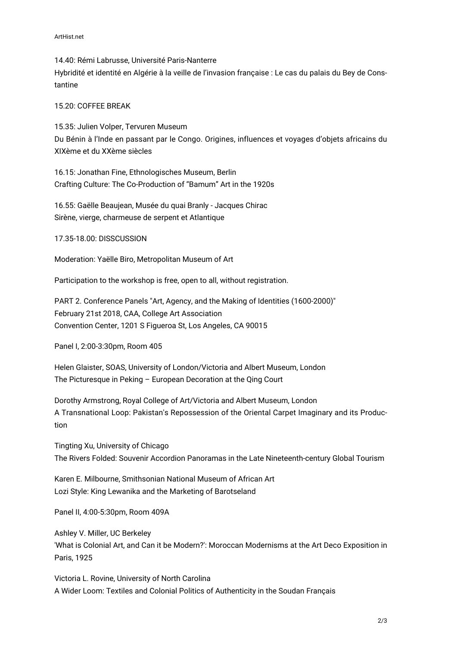14.40: Rémi Labrusse, Université Paris-Nanterre Hybridité et identité en Algérie à la veille de l'invasion française : Le cas du palais du Bey de Constantine

## 15.20: COFFEE BREAK

15.35: Julien Volper, Tervuren Museum Du Bénin à l'Inde en passant par le Congo. Origines, influences et voyages d'objets africains du XIXème et du XXème siècles

16.15: Jonathan Fine, Ethnologisches Museum, Berlin Crafting Culture: The Co-Production of "Bamum" Art in the 1920s

16.55: Gaëlle Beaujean, Musée du quai Branly - Jacques Chirac Sirène, vierge, charmeuse de serpent et Atlantique

17.35-18.00: DISSCUSSION

Moderation: Yaëlle Biro, Metropolitan Museum of Art

Participation to the workshop is free, open to all, without registration.

PART 2. Conference Panels "Art, Agency, and the Making of Identities (1600-2000)" February 21st 2018, CAA, College Art Association Convention Center, 1201 S Figueroa St, Los Angeles, CA 90015

Panel I, 2:00-3:30pm, Room 405

Helen Glaister, SOAS, University of London/Victoria and Albert Museum, London The Picturesque in Peking – European Decoration at the Qing Court

Dorothy Armstrong, Royal College of Art/Victoria and Albert Museum, London A Transnational Loop: Pakistan's Repossession of the Oriental Carpet Imaginary and its Production

Tingting Xu, University of Chicago The Rivers Folded: Souvenir Accordion Panoramas in the Late Nineteenth-century Global Tourism

Karen E. Milbourne, Smithsonian National Museum of African Art Lozi Style: King Lewanika and the Marketing of Barotseland

Panel II, 4:00-5:30pm, Room 409A

Ashley V. Miller, UC Berkeley 'What is Colonial Art, and Can it be Modern?': Moroccan Modernisms at the Art Deco Exposition in Paris, 1925

Victoria L. Rovine, University of North Carolina A Wider Loom: Textiles and Colonial Politics of Authenticity in the Soudan Français